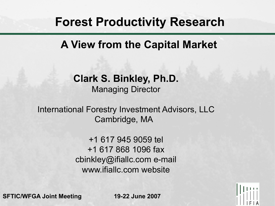# **Forest Productivity Research**

## **A View from the Capital Market**

### **Clark S. Binkley, Ph.D.** Managing Director

International Forestry Investment Advisors, LLC Cambridge, MA

> +1 617 945 9059 tel +1 617 868 1096 fax cbinkley@ifiallc.com e-mail www.ifiallc.com website

**SFTIC/WFGA Joint Meeting 19-22 June 2007** 

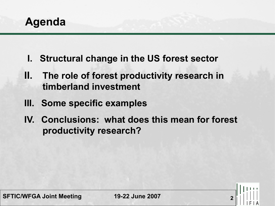**Agenda** 

- **I. Structural change in the US forest sector**
- **II. The role of forest productivity research in timberland investment**
- **III. Some specific examples**
- **IV. Conclusions: what does this mean for forest productivity research?**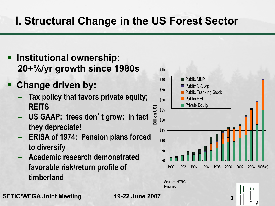# **I. Structural Change in the US Forest Sector**

- § **Institutional ownership: 20+%/yr growth since 1980s**
- § **Change driven by:** 
	- **Tax policy that favors private equity; REITS**
	- **US GAAP: trees don**'**t grow; in fact they depreciate!**
	- **ERISA of 1974: Pension plans forced to diversify**
	- **Academic research demonstrated favorable risk/return profile of timberland**



Research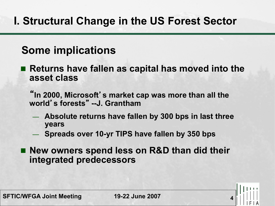# **I. Structural Change in the US Forest Sector**

## **Some implications**

n **Returns have fallen as capital has moved into the asset class** 

"**In 2000, Microsoft**'**s market cap was more than all the world**'**s forests**" **--J. Grantham** 

- **Absolute returns have fallen by 300 bps in last three years**
- **Spreads over 10-yr TIPS have fallen by 350 bps**
- New owners spend less on R&D than did their **integrated predecessors**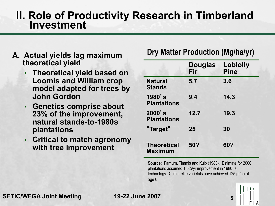## **II. Role of Productivity Research in Timberland Investment**

- **A. Actual yields lag maximum theoretical yield** 
	- **Theoretical yield based on Loomis and William crop model adapted for trees by John Gordon**
	- **Genetics comprise about 23% of the improvement, natural stands-to-1980s plantations**
	- **Critical to match agronomy with tree improvement**

#### **Dry Matter Production (Mg/ha/yr)**

|                                      | <b>Douglas</b><br>Fir | Loblolly<br><b>Pine</b> |
|--------------------------------------|-----------------------|-------------------------|
| <b>Natural</b><br><b>Stands</b>      | 5.7                   | 3.6                     |
| 1980's<br><b>Plantations</b>         | 9.4                   | 14.3                    |
| 2000' s<br><b>Plantations</b>        | 12.7                  | 19.3                    |
| "Target"                             | 25                    | 30                      |
| <b>Theoretical</b><br><b>Maximum</b> | 50?                   | 60?                     |

**Source:** Farnum, Timmis and Kulp (1983). Estimate for 2000 plantations assumed 1.5%/yr improvement in 1980's technology. Cellfor elite varietals have achieved 125 gt/ha at age 6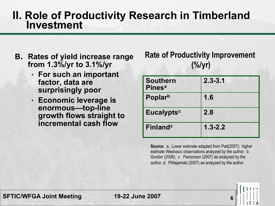## **II. Role of Productivity Research in Timberland Investment**

- **B. Rates of yield increase range from 1.3%/yr to 3.1%/yr** 
	- **For such an important factor, data are surprisingly poor**
	- **Economic leverage is enormous—top-line growth flows straight to incremental cash flow**

**Rate of Productivity Improvement (%/yr)** 

| <b>Southern</b><br><b>Pinesa</b> | $2.3 - 3.1$ |
|----------------------------------|-------------|
| Poplarb                          | 1.6         |
| Eucalypts <sup>c</sup>           | 2.8         |
| Finland <sup>c</sup>             | $1.3 - 2.2$ |

**Source**: a. Lower estimate adapted from Pait(2007); higher estimate Westvaco observations analyzed by the author. b. Gordon (2006). c. Parsonson (2007) as analyzed by the author. d. Pihlajamaki (2007) as analyzed by the author



**SFTIC/WFGA Joint Meeting 19-22 June 2007**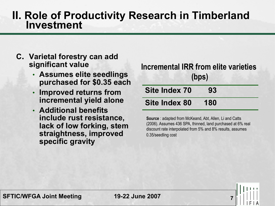## **II. Role of Productivity Research in Timberland Investment**

- **C. Varietal forestry can add significant value** 
	- **Assumes elite seedlings purchased for \$0.35 each**
	- **Improved returns from incremental yield alone**
	- **Additional benefits include rust resistance, lack of low forking, stem straightness, improved specific gravity**

| <b>Incremental IRR from elite varieties</b><br>(bps) |     |  |  |  |  |
|------------------------------------------------------|-----|--|--|--|--|
| Site Index 70                                        | 93  |  |  |  |  |
| <b>Site Index 80</b>                                 | 180 |  |  |  |  |

**Source** : adapted from McKeand, Abt, Allen, Li and Catts (2006). Assumes 436 SPA, thinned, land purchased at 6% real discount rate interpolated from 5% and 8% results, assumes 0.35/seedling cost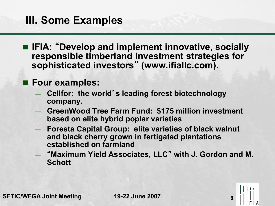# **III. Some Examples**

■ **IFIA: "Develop and implement innovative, socially responsible timberland investment strategies for sophisticated investors**" **(www.ifiallc.com).** 

#### ■ Four examples:

- **Cellfor: the world**'**s leading forest biotechnology company.**
- **GreenWood Tree Farm Fund: \$175 million investment based on elite hybrid poplar varieties**
- **Foresta Capital Group: elite varieties of black walnut and black cherry grown in fertigated plantations established on farmland**
- "**Maximum Yield Associates, LLC**" **with J. Gordon and M. Schott**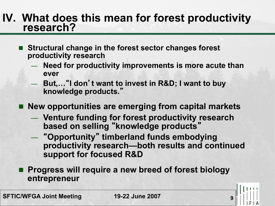# **IV. What does this mean for forest productivity research?**

- Structural change in the forest sector changes forest **productivity research** 
	- **Need for productivity improvements is more acute than ever**
	- **But,…**"**I don**'**t want to invest in R&D; I want to buy knowledge products.**"

■ New opportunities are emerging from capital markets

- **Venture funding for forest productivity research based on selling** "**knowledge products**"
- "**Opportunity**" **timberland funds embodying productivity research—both results and continued support for focused R&D**
- Progress will require a new breed of forest biology **entrepreneur**

**SFTIC/WFGA Joint Meeting 19-22 June 2007**